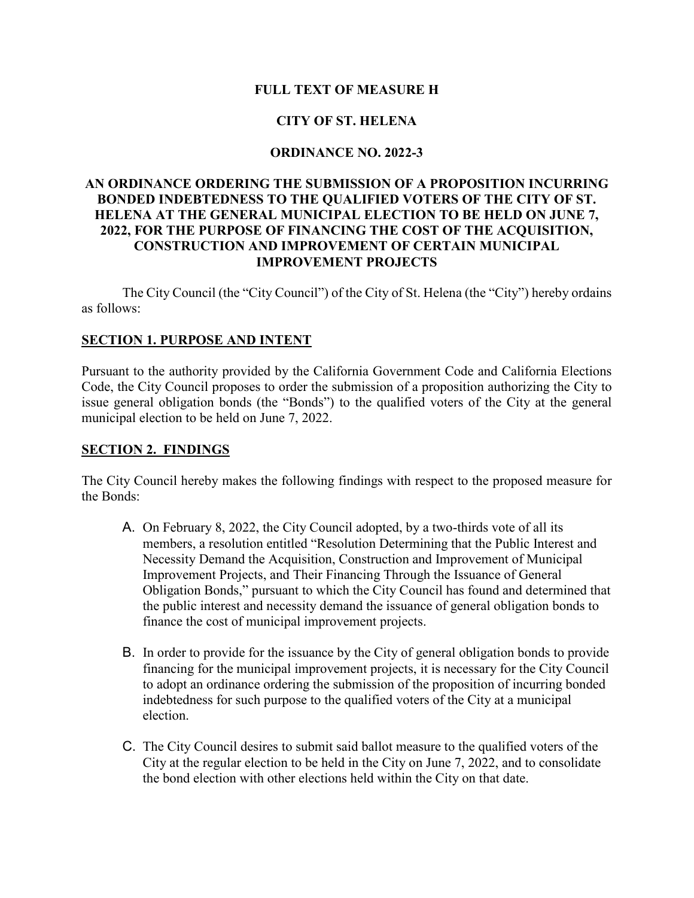#### **FULL TEXT OF MEASURE H**

### **CITY OF ST. HELENA**

#### **ORDINANCE NO. 2022-3**

#### **AN ORDINANCE ORDERING THE SUBMISSION OF A PROPOSITION INCURRING BONDED INDEBTEDNESS TO THE QUALIFIED VOTERS OF THE CITY OF ST. HELENA AT THE GENERAL MUNICIPAL ELECTION TO BE HELD ON JUNE 7, 2022, FOR THE PURPOSE OF FINANCING THE COST OF THE ACQUISITION, CONSTRUCTION AND IMPROVEMENT OF CERTAIN MUNICIPAL IMPROVEMENT PROJECTS**

The City Council (the "City Council") of the City of St. Helena (the "City") hereby ordains as follows:

#### **SECTION 1. PURPOSE AND INTENT**

Pursuant to the authority provided by the California Government Code and California Elections Code, the City Council proposes to order the submission of a proposition authorizing the City to issue general obligation bonds (the "Bonds") to the qualified voters of the City at the general municipal election to be held on June 7, 2022.

#### **SECTION 2. FINDINGS**

The City Council hereby makes the following findings with respect to the proposed measure for the Bonds:

- A. On February 8, 2022, the City Council adopted, by a two-thirds vote of all its members, a resolution entitled "Resolution Determining that the Public Interest and Necessity Demand the Acquisition, Construction and Improvement of Municipal Improvement Projects, and Their Financing Through the Issuance of General Obligation Bonds," pursuant to which the City Council has found and determined that the public interest and necessity demand the issuance of general obligation bonds to finance the cost of municipal improvement projects.
- B. In order to provide for the issuance by the City of general obligation bonds to provide financing for the municipal improvement projects, it is necessary for the City Council to adopt an ordinance ordering the submission of the proposition of incurring bonded indebtedness for such purpose to the qualified voters of the City at a municipal election.
- C. The City Council desires to submit said ballot measure to the qualified voters of the City at the regular election to be held in the City on June 7, 2022, and to consolidate the bond election with other elections held within the City on that date.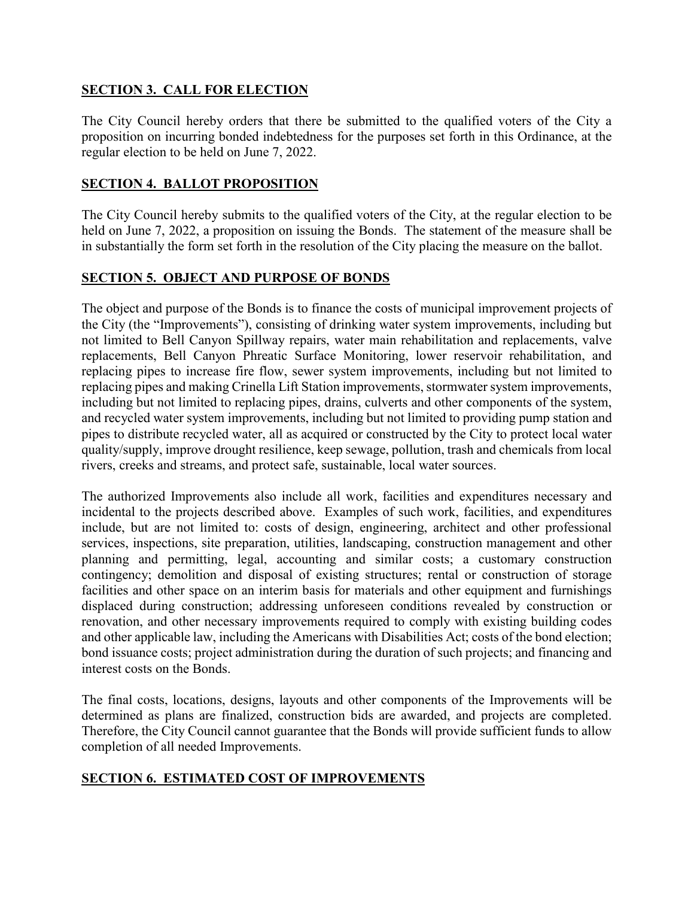## **SECTION 3. CALL FOR ELECTION**

The City Council hereby orders that there be submitted to the qualified voters of the City a proposition on incurring bonded indebtedness for the purposes set forth in this Ordinance, at the regular election to be held on June 7, 2022.

### **SECTION 4. BALLOT PROPOSITION**

The City Council hereby submits to the qualified voters of the City, at the regular election to be held on June 7, 2022, a proposition on issuing the Bonds. The statement of the measure shall be in substantially the form set forth in the resolution of the City placing the measure on the ballot.

### **SECTION 5. OBJECT AND PURPOSE OF BONDS**

The object and purpose of the Bonds is to finance the costs of municipal improvement projects of the City (the "Improvements"), consisting of drinking water system improvements, including but not limited to Bell Canyon Spillway repairs, water main rehabilitation and replacements, valve replacements, Bell Canyon Phreatic Surface Monitoring, lower reservoir rehabilitation, and replacing pipes to increase fire flow, sewer system improvements, including but not limited to replacing pipes and making Crinella Lift Station improvements, stormwater system improvements, including but not limited to replacing pipes, drains, culverts and other components of the system, and recycled water system improvements, including but not limited to providing pump station and pipes to distribute recycled water, all as acquired or constructed by the City to protect local water quality/supply, improve drought resilience, keep sewage, pollution, trash and chemicals from local rivers, creeks and streams, and protect safe, sustainable, local water sources.

The authorized Improvements also include all work, facilities and expenditures necessary and incidental to the projects described above. Examples of such work, facilities, and expenditures include, but are not limited to: costs of design, engineering, architect and other professional services, inspections, site preparation, utilities, landscaping, construction management and other planning and permitting, legal, accounting and similar costs; a customary construction contingency; demolition and disposal of existing structures; rental or construction of storage facilities and other space on an interim basis for materials and other equipment and furnishings displaced during construction; addressing unforeseen conditions revealed by construction or renovation, and other necessary improvements required to comply with existing building codes and other applicable law, including the Americans with Disabilities Act; costs of the bond election; bond issuance costs; project administration during the duration of such projects; and financing and interest costs on the Bonds.

The final costs, locations, designs, layouts and other components of the Improvements will be determined as plans are finalized, construction bids are awarded, and projects are completed. Therefore, the City Council cannot guarantee that the Bonds will provide sufficient funds to allow completion of all needed Improvements.

## **SECTION 6. ESTIMATED COST OF IMPROVEMENTS**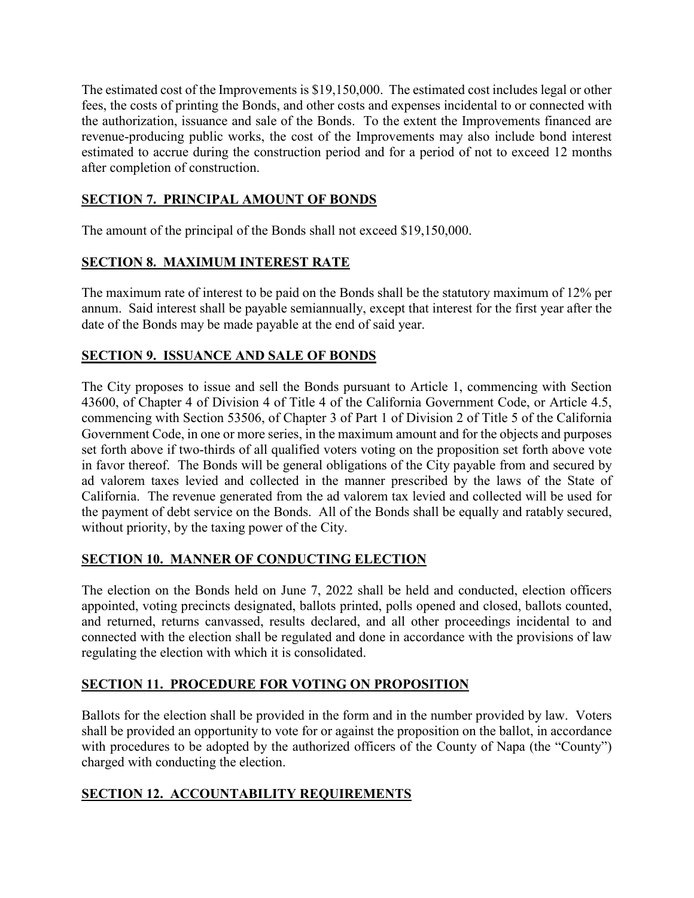The estimated cost of the Improvements is \$19,150,000. The estimated cost includes legal or other fees, the costs of printing the Bonds, and other costs and expenses incidental to or connected with the authorization, issuance and sale of the Bonds. To the extent the Improvements financed are revenue-producing public works, the cost of the Improvements may also include bond interest estimated to accrue during the construction period and for a period of not to exceed 12 months after completion of construction.

## **SECTION 7. PRINCIPAL AMOUNT OF BONDS**

The amount of the principal of the Bonds shall not exceed \$19,150,000.

## **SECTION 8. MAXIMUM INTEREST RATE**

The maximum rate of interest to be paid on the Bonds shall be the statutory maximum of 12% per annum. Said interest shall be payable semiannually, except that interest for the first year after the date of the Bonds may be made payable at the end of said year.

## **SECTION 9. ISSUANCE AND SALE OF BONDS**

The City proposes to issue and sell the Bonds pursuant to Article 1, commencing with Section 43600, of Chapter 4 of Division 4 of Title 4 of the California Government Code, or Article 4.5, commencing with Section 53506, of Chapter 3 of Part 1 of Division 2 of Title 5 of the California Government Code, in one or more series, in the maximum amount and for the objects and purposes set forth above if two-thirds of all qualified voters voting on the proposition set forth above vote in favor thereof. The Bonds will be general obligations of the City payable from and secured by ad valorem taxes levied and collected in the manner prescribed by the laws of the State of California. The revenue generated from the ad valorem tax levied and collected will be used for the payment of debt service on the Bonds. All of the Bonds shall be equally and ratably secured, without priority, by the taxing power of the City.

## **SECTION 10. MANNER OF CONDUCTING ELECTION**

The election on the Bonds held on June 7, 2022 shall be held and conducted, election officers appointed, voting precincts designated, ballots printed, polls opened and closed, ballots counted, and returned, returns canvassed, results declared, and all other proceedings incidental to and connected with the election shall be regulated and done in accordance with the provisions of law regulating the election with which it is consolidated.

# **SECTION 11. PROCEDURE FOR VOTING ON PROPOSITION**

Ballots for the election shall be provided in the form and in the number provided by law. Voters shall be provided an opportunity to vote for or against the proposition on the ballot, in accordance with procedures to be adopted by the authorized officers of the County of Napa (the "County") charged with conducting the election.

## **SECTION 12. ACCOUNTABILITY REQUIREMENTS**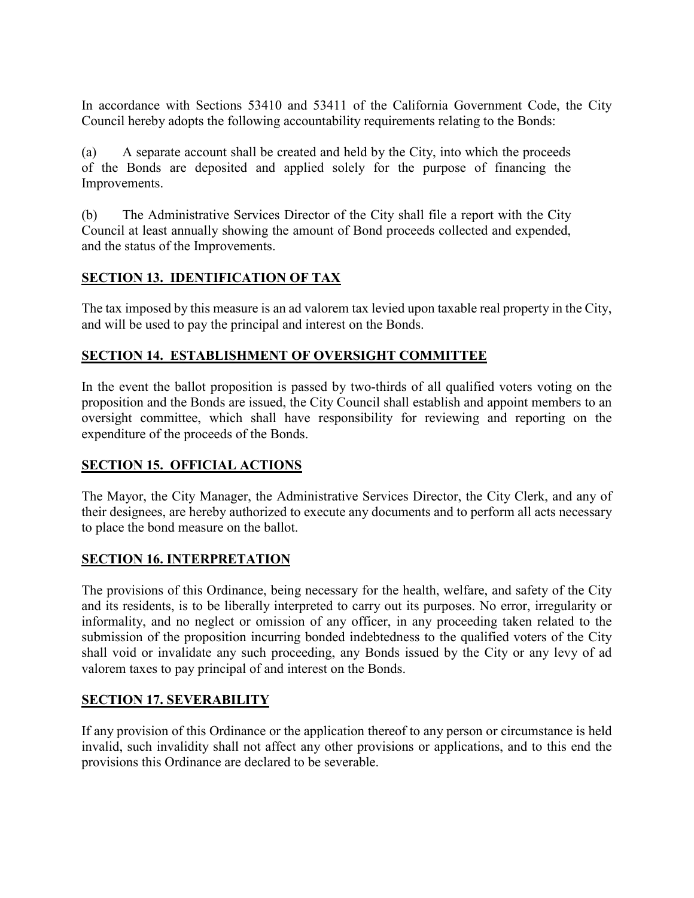In accordance with Sections 53410 and 53411 of the California Government Code, the City Council hereby adopts the following accountability requirements relating to the Bonds:

(a) A separate account shall be created and held by the City, into which the proceeds of the Bonds are deposited and applied solely for the purpose of financing the Improvements.

(b) The Administrative Services Director of the City shall file a report with the City Council at least annually showing the amount of Bond proceeds collected and expended, and the status of the Improvements.

## **SECTION 13. IDENTIFICATION OF TAX**

The tax imposed by this measure is an ad valorem tax levied upon taxable real property in the City, and will be used to pay the principal and interest on the Bonds.

## **SECTION 14. ESTABLISHMENT OF OVERSIGHT COMMITTEE**

In the event the ballot proposition is passed by two-thirds of all qualified voters voting on the proposition and the Bonds are issued, the City Council shall establish and appoint members to an oversight committee, which shall have responsibility for reviewing and reporting on the expenditure of the proceeds of the Bonds.

## **SECTION 15. OFFICIAL ACTIONS**

The Mayor, the City Manager, the Administrative Services Director, the City Clerk, and any of their designees, are hereby authorized to execute any documents and to perform all acts necessary to place the bond measure on the ballot.

### **SECTION 16. INTERPRETATION**

The provisions of this Ordinance, being necessary for the health, welfare, and safety of the City and its residents, is to be liberally interpreted to carry out its purposes. No error, irregularity or informality, and no neglect or omission of any officer, in any proceeding taken related to the submission of the proposition incurring bonded indebtedness to the qualified voters of the City shall void or invalidate any such proceeding, any Bonds issued by the City or any levy of ad valorem taxes to pay principal of and interest on the Bonds.

### **SECTION 17. SEVERABILITY**

If any provision of this Ordinance or the application thereof to any person or circumstance is held invalid, such invalidity shall not affect any other provisions or applications, and to this end the provisions this Ordinance are declared to be severable.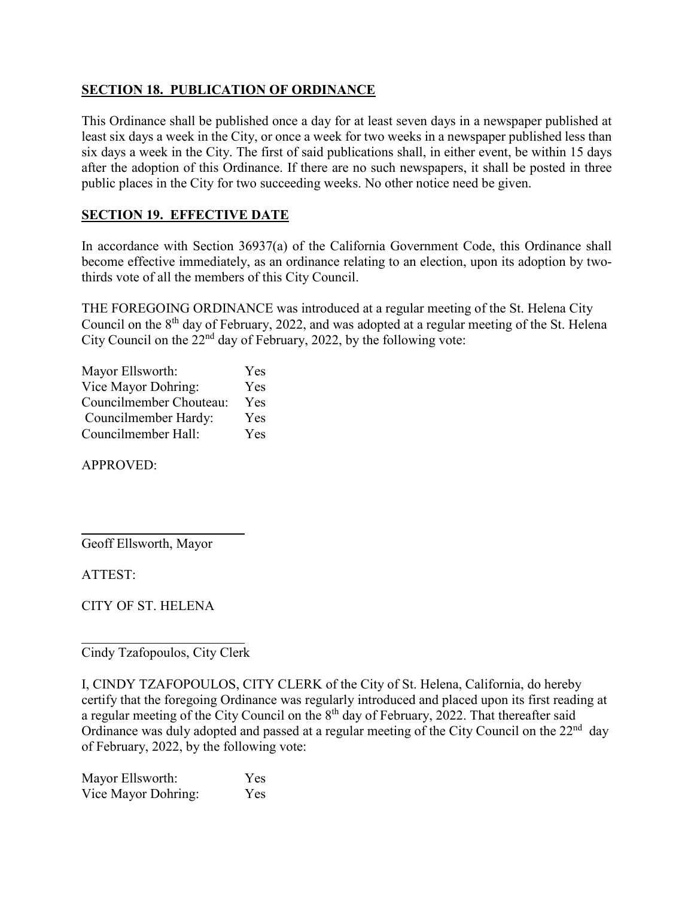## **SECTION 18. PUBLICATION OF ORDINANCE**

This Ordinance shall be published once a day for at least seven days in a newspaper published at least six days a week in the City, or once a week for two weeks in a newspaper published less than six days a week in the City. The first of said publications shall, in either event, be within 15 days after the adoption of this Ordinance. If there are no such newspapers, it shall be posted in three public places in the City for two succeeding weeks. No other notice need be given.

## **SECTION 19. EFFECTIVE DATE**

In accordance with Section 36937(a) of the California Government Code, this Ordinance shall become effective immediately, as an ordinance relating to an election, upon its adoption by twothirds vote of all the members of this City Council.

THE FOREGOING ORDINANCE was introduced at a regular meeting of the St. Helena City Council on the 8<sup>th</sup> day of February, 2022, and was adopted at a regular meeting of the St. Helena City Council on the  $22<sup>nd</sup>$  day of February, 2022, by the following vote:

| Mayor Ellsworth:        | Yes |
|-------------------------|-----|
| Vice Mayor Dohring:     | Yes |
| Councilmember Chouteau: | Yes |
| Councilmember Hardy:    | Yes |
| Councilmember Hall:     | Yes |

APPROVED:

 $\overline{a}$ Geoff Ellsworth, Mayor

ATTEST:

CITY OF ST. HELENA

 $\overline{a}$ Cindy Tzafopoulos, City Clerk

I, CINDY TZAFOPOULOS, CITY CLERK of the City of St. Helena, California, do hereby certify that the foregoing Ordinance was regularly introduced and placed upon its first reading at a regular meeting of the City Council on the 8<sup>th</sup> day of February, 2022. That thereafter said Ordinance was duly adopted and passed at a regular meeting of the City Council on the  $22<sup>nd</sup>$  day of February, 2022, by the following vote:

Mayor Ellsworth: Yes Vice Mayor Dohring: Yes